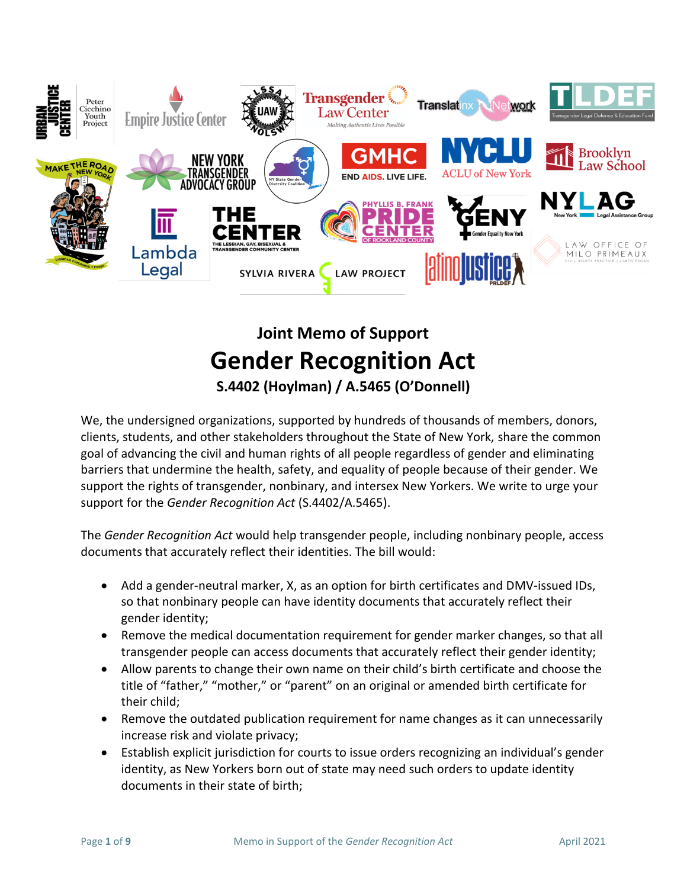

# **Joint Memo of Support Gender Recognition Act S.4402 (Hoylman) / A.5465 (O'Donnell)**

We, the undersigned organizations, supported by hundreds of thousands of members, donors, clients, students, and other stakeholders throughout the State of New York, share the common goal of advancing the civil and human rights of all people regardless of gender and eliminating barriers that undermine the health, safety, and equality of people because of their gender. We support the rights of transgender, nonbinary, and intersex New Yorkers. We write to urge your support for the *Gender Recognition Act* (S.4402/A.5465).

The *Gender Recognition Act* would help transgender people, including nonbinary people, access documents that accurately reflect their identities. The bill would:

- Add a gender-neutral marker, X, as an option for birth certificates and DMV-issued IDs, so that nonbinary people can have identity documents that accurately reflect their gender identity;
- Remove the medical documentation requirement for gender marker changes, so that all transgender people can access documents that accurately reflect their gender identity;
- Allow parents to change their own name on their child's birth certificate and choose the title of "father," "mother," or "parent" on an original or amended birth certificate for their child;
- Remove the outdated publication requirement for name changes as it can unnecessarily increase risk and violate privacy;
- Establish explicit jurisdiction for courts to issue orders recognizing an individual's gender identity, as New Yorkers born out of state may need such orders to update identity documents in their state of birth;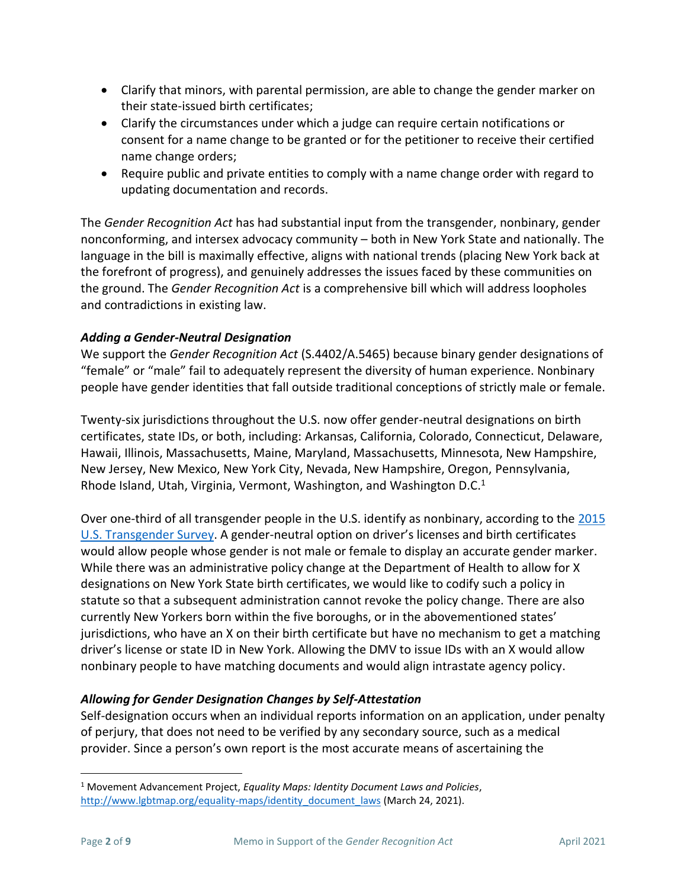- Clarify that minors, with parental permission, are able to change the gender marker on their state-issued birth certificates;
- Clarify the circumstances under which a judge can require certain notifications or consent for a name change to be granted or for the petitioner to receive their certified name change orders;
- Require public and private entities to comply with a name change order with regard to updating documentation and records.

The *Gender Recognition Act* has had substantial input from the transgender, nonbinary, gender nonconforming, and intersex advocacy community – both in New York State and nationally. The language in the bill is maximally effective, aligns with national trends (placing New York back at the forefront of progress), and genuinely addresses the issues faced by these communities on the ground. The *Gender Recognition Act* is a comprehensive bill which will address loopholes and contradictions in existing law.

## *Adding a Gender-Neutral Designation*

We support the *Gender Recognition Act* (S.4402/A.5465) because binary gender designations of "female" or "male" fail to adequately represent the diversity of human experience. Nonbinary people have gender identities that fall outside traditional conceptions of strictly male or female.

Twenty-six jurisdictions throughout the U.S. now offer gender-neutral designations on birth certificates, state IDs, or both, including: Arkansas, California, Colorado, Connecticut, Delaware, Hawaii, Illinois, Massachusetts, Maine, Maryland, Massachusetts, Minnesota, New Hampshire, New Jersey, New Mexico, New York City, Nevada, New Hampshire, Oregon, Pennsylvania, Rhode Island, Utah, Virginia, Vermont, Washington, and Washington D.C.<sup>1</sup>

Over one-third of all transgender people in the U.S. identify as nonbinary, according to the [2015](http://www.ustranssurvey.org/reports)  [U.S. Transgender Survey.](http://www.ustranssurvey.org/reports) A gender-neutral option on driver's licenses and birth certificates would allow people whose gender is not male or female to display an accurate gender marker. While there was an administrative policy change at the Department of Health to allow for X designations on New York State birth certificates, we would like to codify such a policy in statute so that a subsequent administration cannot revoke the policy change. There are also currently New Yorkers born within the five boroughs, or in the abovementioned states' jurisdictions, who have an X on their birth certificate but have no mechanism to get a matching driver's license or state ID in New York. Allowing the DMV to issue IDs with an X would allow nonbinary people to have matching documents and would align intrastate agency policy.

# *Allowing for Gender Designation Changes by Self-Attestation*

Self-designation occurs when an individual reports information on an application, under penalty of perjury, that does not need to be verified by any secondary source, such as a medical provider. Since a person's own report is the most accurate means of ascertaining the

<sup>1</sup> Movement Advancement Project, *Equality Maps: Identity Document Laws and Policies*, [http://www.lgbtmap.org/equality-maps/identity\\_document\\_laws](http://www.lgbtmap.org/equality-maps/identity_document_laws) (March 24, 2021).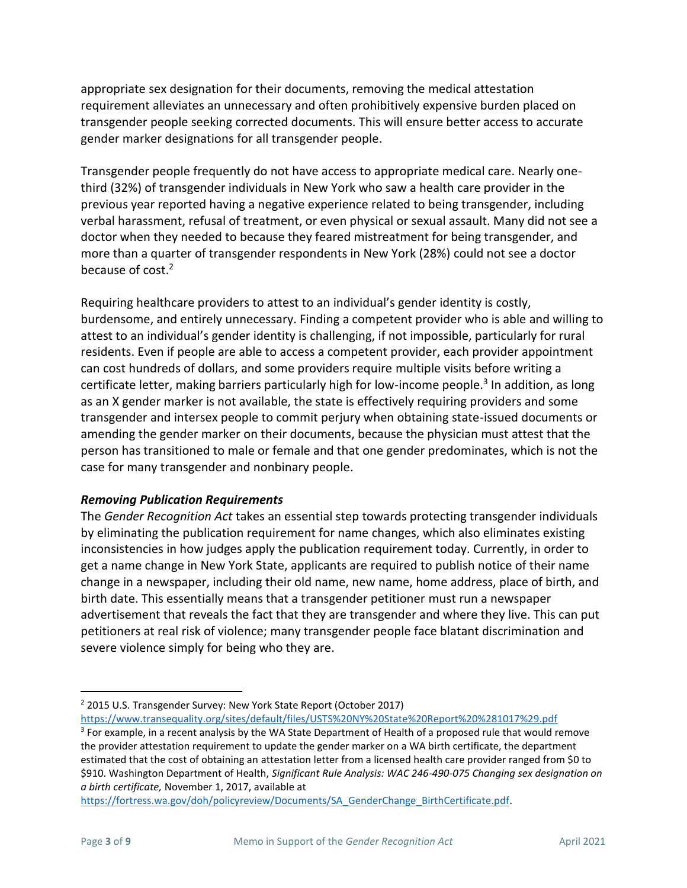appropriate sex designation for their documents, removing the medical attestation requirement alleviates an unnecessary and often prohibitively expensive burden placed on transgender people seeking corrected documents. This will ensure better access to accurate gender marker designations for all transgender people.

Transgender people frequently do not have access to appropriate medical care. Nearly onethird (32%) of transgender individuals in New York who saw a health care provider in the previous year reported having a negative experience related to being transgender, including verbal harassment, refusal of treatment, or even physical or sexual assault. Many did not see a doctor when they needed to because they feared mistreatment for being transgender, and more than a quarter of transgender respondents in New York (28%) could not see a doctor because of cost.<sup>2</sup>

Requiring healthcare providers to attest to an individual's gender identity is costly, burdensome, and entirely unnecessary. Finding a competent provider who is able and willing to attest to an individual's gender identity is challenging, if not impossible, particularly for rural residents. Even if people are able to access a competent provider, each provider appointment can cost hundreds of dollars, and some providers require multiple visits before writing a certificate letter, making barriers particularly high for low-income people.<sup>3</sup> In addition, as long as an X gender marker is not available, the state is effectively requiring providers and some transgender and intersex people to commit perjury when obtaining state-issued documents or amending the gender marker on their documents, because the physician must attest that the person has transitioned to male or female and that one gender predominates, which is not the case for many transgender and nonbinary people.

#### *Removing Publication Requirements*

The *Gender Recognition Act* takes an essential step towards protecting transgender individuals by eliminating the publication requirement for name changes, which also eliminates existing inconsistencies in how judges apply the publication requirement today. Currently, in order to get a name change in New York State, applicants are required to publish notice of their name change in a newspaper, including their old name, new name, home address, place of birth, and birth date. This essentially means that a transgender petitioner must run a newspaper advertisement that reveals the fact that they are transgender and where they live. This can put petitioners at real risk of violence; many transgender people face blatant discrimination and severe violence simply for being who they are.

<https://www.transequality.org/sites/default/files/USTS%20NY%20State%20Report%20%281017%29.pdf>

<sup>&</sup>lt;sup>2</sup> 2015 U.S. Transgender Survey: New York State Report (October 2017)

<sup>&</sup>lt;sup>3</sup> For example, in a recent analysis by the WA State Department of Health of a proposed rule that would remove the provider attestation requirement to update the gender marker on a WA birth certificate, the department estimated that the cost of obtaining an attestation letter from a licensed health care provider ranged from \$0 to \$910. Washington Department of Health, *Significant Rule Analysis: WAC 246-490-075 Changing sex designation on a birth certificate,* November 1, 2017, available at

[https://fortress.wa.gov/doh/policyreview/Documents/SA\\_GenderChange\\_BirthCertificate.pdf.](https://fortress.wa.gov/doh/policyreview/Documents/SA_GenderChange_BirthCertificate.pdf)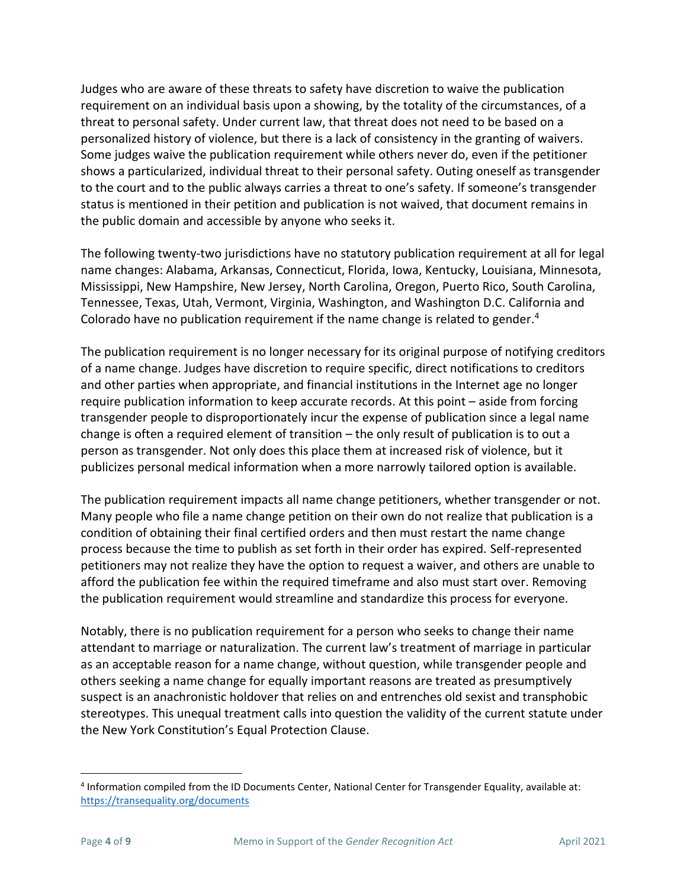Judges who are aware of these threats to safety have discretion to waive the publication requirement on an individual basis upon a showing, by the totality of the circumstances, of a threat to personal safety. Under current law, that threat does not need to be based on a personalized history of violence, but there is a lack of consistency in the granting of waivers. Some judges waive the publication requirement while others never do, even if the petitioner shows a particularized, individual threat to their personal safety. Outing oneself as transgender to the court and to the public always carries a threat to one's safety. If someone's transgender status is mentioned in their petition and publication is not waived, that document remains in the public domain and accessible by anyone who seeks it.

The following twenty-two jurisdictions have no statutory publication requirement at all for legal name changes: Alabama, Arkansas, Connecticut, Florida, Iowa, Kentucky, Louisiana, Minnesota, Mississippi, New Hampshire, New Jersey, North Carolina, Oregon, Puerto Rico, South Carolina, Tennessee, Texas, Utah, Vermont, Virginia, Washington, and Washington D.C. California and Colorado have no publication requirement if the name change is related to gender.<sup>4</sup>

The publication requirement is no longer necessary for its original purpose of notifying creditors of a name change. Judges have discretion to require specific, direct notifications to creditors and other parties when appropriate, and financial institutions in the Internet age no longer require publication information to keep accurate records. At this point – aside from forcing transgender people to disproportionately incur the expense of publication since a legal name change is often a required element of transition – the only result of publication is to out a person as transgender. Not only does this place them at increased risk of violence, but it publicizes personal medical information when a more narrowly tailored option is available.

The publication requirement impacts all name change petitioners, whether transgender or not. Many people who file a name change petition on their own do not realize that publication is a condition of obtaining their final certified orders and then must restart the name change process because the time to publish as set forth in their order has expired. Self-represented petitioners may not realize they have the option to request a waiver, and others are unable to afford the publication fee within the required timeframe and also must start over. Removing the publication requirement would streamline and standardize this process for everyone.

Notably, there is no publication requirement for a person who seeks to change their name attendant to marriage or naturalization. The current law's treatment of marriage in particular as an acceptable reason for a name change, without question, while transgender people and others seeking a name change for equally important reasons are treated as presumptively suspect is an anachronistic holdover that relies on and entrenches old sexist and transphobic stereotypes. This unequal treatment calls into question the validity of the current statute under the New York Constitution's Equal Protection Clause.

<sup>4</sup> Information compiled from the ID Documents Center, National Center for Transgender Equality, available at: <https://transequality.org/documents>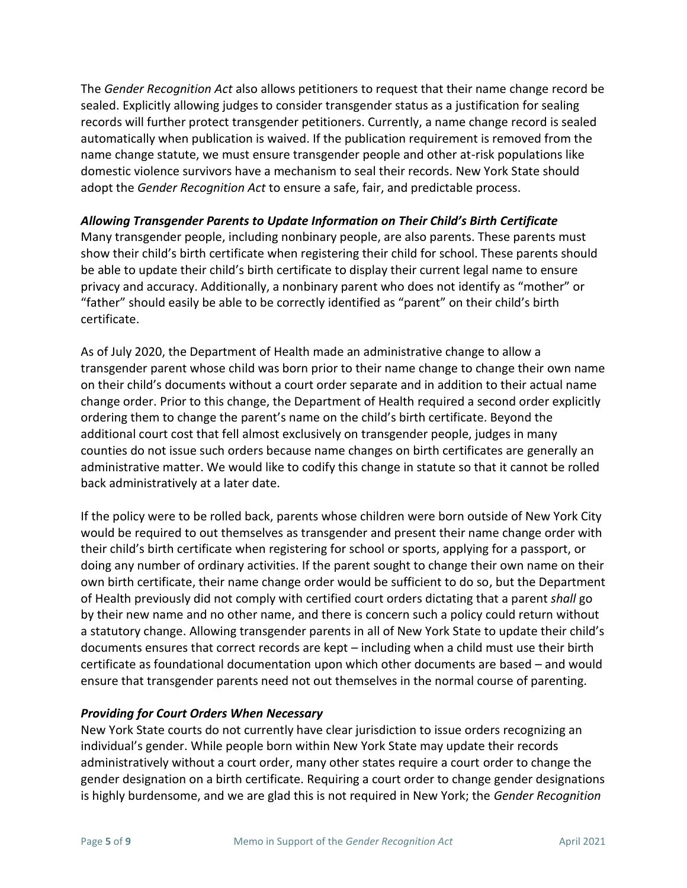The *Gender Recognition Act* also allows petitioners to request that their name change record be sealed. Explicitly allowing judges to consider transgender status as a justification for sealing records will further protect transgender petitioners. Currently, a name change record is sealed automatically when publication is waived. If the publication requirement is removed from the name change statute, we must ensure transgender people and other at-risk populations like domestic violence survivors have a mechanism to seal their records. New York State should adopt the *Gender Recognition Act* to ensure a safe, fair, and predictable process.

#### *Allowing Transgender Parents to Update Information on Their Child's Birth Certificate*

Many transgender people, including nonbinary people, are also parents. These parents must show their child's birth certificate when registering their child for school. These parents should be able to update their child's birth certificate to display their current legal name to ensure privacy and accuracy. Additionally, a nonbinary parent who does not identify as "mother" or "father" should easily be able to be correctly identified as "parent" on their child's birth certificate.

As of July 2020, the Department of Health made an administrative change to allow a transgender parent whose child was born prior to their name change to change their own name on their child's documents without a court order separate and in addition to their actual name change order. Prior to this change, the Department of Health required a second order explicitly ordering them to change the parent's name on the child's birth certificate. Beyond the additional court cost that fell almost exclusively on transgender people, judges in many counties do not issue such orders because name changes on birth certificates are generally an administrative matter. We would like to codify this change in statute so that it cannot be rolled back administratively at a later date.

If the policy were to be rolled back, parents whose children were born outside of New York City would be required to out themselves as transgender and present their name change order with their child's birth certificate when registering for school or sports, applying for a passport, or doing any number of ordinary activities. If the parent sought to change their own name on their own birth certificate, their name change order would be sufficient to do so, but the Department of Health previously did not comply with certified court orders dictating that a parent *shall* go by their new name and no other name, and there is concern such a policy could return without a statutory change. Allowing transgender parents in all of New York State to update their child's documents ensures that correct records are kept – including when a child must use their birth certificate as foundational documentation upon which other documents are based – and would ensure that transgender parents need not out themselves in the normal course of parenting.

#### *Providing for Court Orders When Necessary*

New York State courts do not currently have clear jurisdiction to issue orders recognizing an individual's gender. While people born within New York State may update their records administratively without a court order, many other states require a court order to change the gender designation on a birth certificate. Requiring a court order to change gender designations is highly burdensome, and we are glad this is not required in New York; the *Gender Recognition*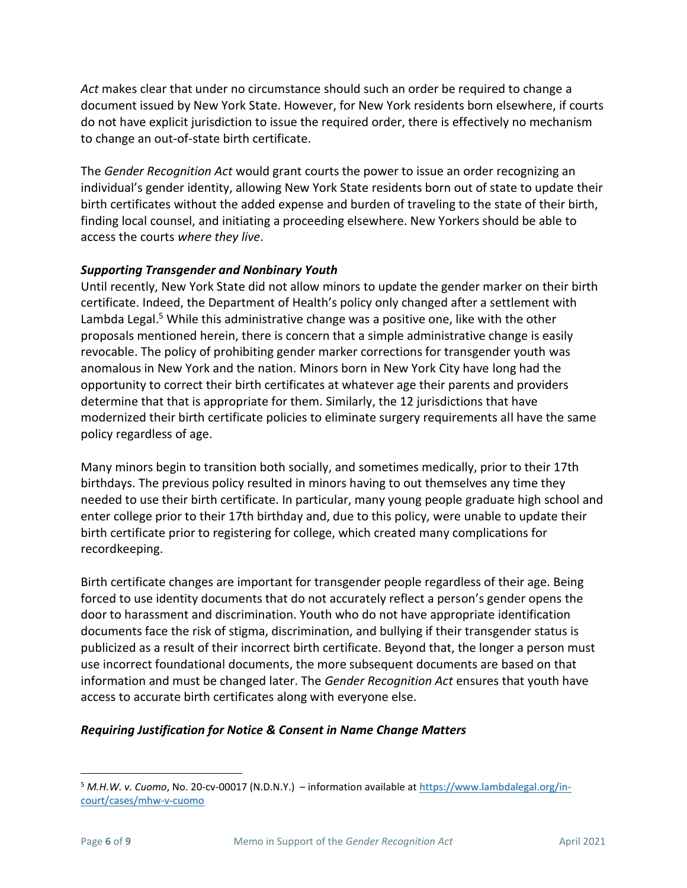*Act* makes clear that under no circumstance should such an order be required to change a document issued by New York State. However, for New York residents born elsewhere, if courts do not have explicit jurisdiction to issue the required order, there is effectively no mechanism to change an out-of-state birth certificate.

The *Gender Recognition Act* would grant courts the power to issue an order recognizing an individual's gender identity, allowing New York State residents born out of state to update their birth certificates without the added expense and burden of traveling to the state of their birth, finding local counsel, and initiating a proceeding elsewhere. New Yorkers should be able to access the courts *where they live*.

## *Supporting Transgender and Nonbinary Youth*

Until recently, New York State did not allow minors to update the gender marker on their birth certificate. Indeed, the Department of Health's policy only changed after a settlement with Lambda Legal.<sup>5</sup> While this administrative change was a positive one, like with the other proposals mentioned herein, there is concern that a simple administrative change is easily revocable. The policy of prohibiting gender marker corrections for transgender youth was anomalous in New York and the nation. Minors born in New York City have long had the opportunity to correct their birth certificates at whatever age their parents and providers determine that that is appropriate for them. Similarly, the 12 jurisdictions that have modernized their birth certificate policies to eliminate surgery requirements all have the same policy regardless of age.

Many minors begin to transition both socially, and sometimes medically, prior to their 17th birthdays. The previous policy resulted in minors having to out themselves any time they needed to use their birth certificate. In particular, many young people graduate high school and enter college prior to their 17th birthday and, due to this policy, were unable to update their birth certificate prior to registering for college, which created many complications for recordkeeping.

Birth certificate changes are important for transgender people regardless of their age. Being forced to use identity documents that do not accurately reflect a person's gender opens the door to harassment and discrimination. Youth who do not have appropriate identification documents face the risk of stigma, discrimination, and bullying if their transgender status is publicized as a result of their incorrect birth certificate. Beyond that, the longer a person must use incorrect foundational documents, the more subsequent documents are based on that information and must be changed later. The *Gender Recognition Act* ensures that youth have access to accurate birth certificates along with everyone else.

# *Requiring Justification for Notice & Consent in Name Change Matters*

<sup>5</sup> *M.H.W. v. Cuomo*, No. 20-cv-00017 (N.D.N.Y.) – information available at [https://www.lambdalegal.org/in](https://www.lambdalegal.org/in-court/cases/mhw-v-cuomo)[court/cases/mhw-v-cuomo](https://www.lambdalegal.org/in-court/cases/mhw-v-cuomo)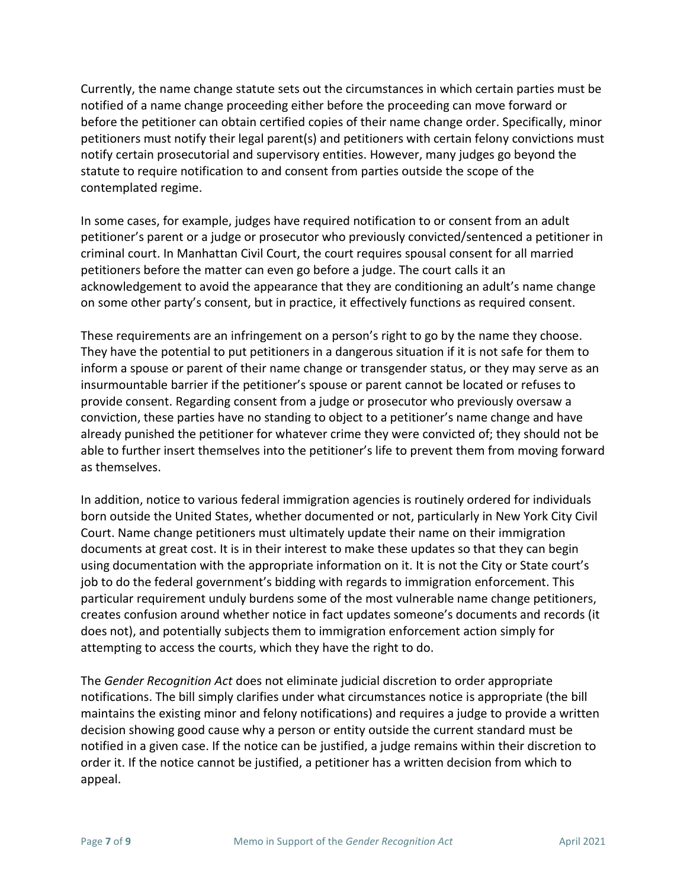Currently, the name change statute sets out the circumstances in which certain parties must be notified of a name change proceeding either before the proceeding can move forward or before the petitioner can obtain certified copies of their name change order. Specifically, minor petitioners must notify their legal parent(s) and petitioners with certain felony convictions must notify certain prosecutorial and supervisory entities. However, many judges go beyond the statute to require notification to and consent from parties outside the scope of the contemplated regime.

In some cases, for example, judges have required notification to or consent from an adult petitioner's parent or a judge or prosecutor who previously convicted/sentenced a petitioner in criminal court. In Manhattan Civil Court, the court requires spousal consent for all married petitioners before the matter can even go before a judge. The court calls it an acknowledgement to avoid the appearance that they are conditioning an adult's name change on some other party's consent, but in practice, it effectively functions as required consent.

These requirements are an infringement on a person's right to go by the name they choose. They have the potential to put petitioners in a dangerous situation if it is not safe for them to inform a spouse or parent of their name change or transgender status, or they may serve as an insurmountable barrier if the petitioner's spouse or parent cannot be located or refuses to provide consent. Regarding consent from a judge or prosecutor who previously oversaw a conviction, these parties have no standing to object to a petitioner's name change and have already punished the petitioner for whatever crime they were convicted of; they should not be able to further insert themselves into the petitioner's life to prevent them from moving forward as themselves.

In addition, notice to various federal immigration agencies is routinely ordered for individuals born outside the United States, whether documented or not, particularly in New York City Civil Court. Name change petitioners must ultimately update their name on their immigration documents at great cost. It is in their interest to make these updates so that they can begin using documentation with the appropriate information on it. It is not the City or State court's job to do the federal government's bidding with regards to immigration enforcement. This particular requirement unduly burdens some of the most vulnerable name change petitioners, creates confusion around whether notice in fact updates someone's documents and records (it does not), and potentially subjects them to immigration enforcement action simply for attempting to access the courts, which they have the right to do.

The *Gender Recognition Act* does not eliminate judicial discretion to order appropriate notifications. The bill simply clarifies under what circumstances notice is appropriate (the bill maintains the existing minor and felony notifications) and requires a judge to provide a written decision showing good cause why a person or entity outside the current standard must be notified in a given case. If the notice can be justified, a judge remains within their discretion to order it. If the notice cannot be justified, a petitioner has a written decision from which to appeal.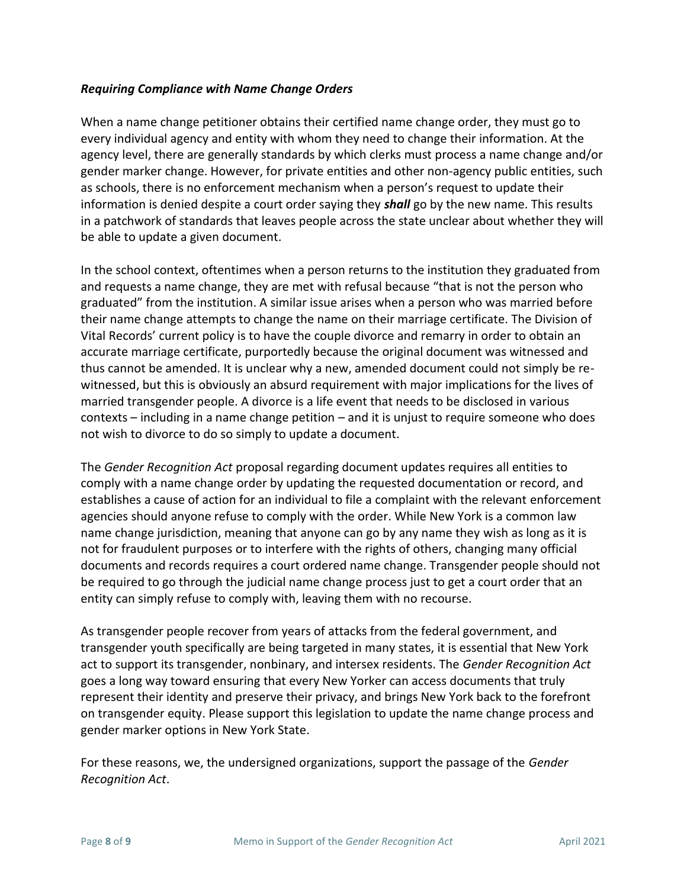#### *Requiring Compliance with Name Change Orders*

When a name change petitioner obtains their certified name change order, they must go to every individual agency and entity with whom they need to change their information. At the agency level, there are generally standards by which clerks must process a name change and/or gender marker change. However, for private entities and other non-agency public entities, such as schools, there is no enforcement mechanism when a person's request to update their information is denied despite a court order saying they *shall* go by the new name. This results in a patchwork of standards that leaves people across the state unclear about whether they will be able to update a given document.

In the school context, oftentimes when a person returns to the institution they graduated from and requests a name change, they are met with refusal because "that is not the person who graduated" from the institution. A similar issue arises when a person who was married before their name change attempts to change the name on their marriage certificate. The Division of Vital Records' current policy is to have the couple divorce and remarry in order to obtain an accurate marriage certificate, purportedly because the original document was witnessed and thus cannot be amended. It is unclear why a new, amended document could not simply be rewitnessed, but this is obviously an absurd requirement with major implications for the lives of married transgender people. A divorce is a life event that needs to be disclosed in various contexts – including in a name change petition – and it is unjust to require someone who does not wish to divorce to do so simply to update a document.

The *Gender Recognition Act* proposal regarding document updates requires all entities to comply with a name change order by updating the requested documentation or record, and establishes a cause of action for an individual to file a complaint with the relevant enforcement agencies should anyone refuse to comply with the order. While New York is a common law name change jurisdiction, meaning that anyone can go by any name they wish as long as it is not for fraudulent purposes or to interfere with the rights of others, changing many official documents and records requires a court ordered name change. Transgender people should not be required to go through the judicial name change process just to get a court order that an entity can simply refuse to comply with, leaving them with no recourse.

As transgender people recover from years of attacks from the federal government, and transgender youth specifically are being targeted in many states, it is essential that New York act to support its transgender, nonbinary, and intersex residents. The *Gender Recognition Act*  goes a long way toward ensuring that every New Yorker can access documents that truly represent their identity and preserve their privacy, and brings New York back to the forefront on transgender equity. Please support this legislation to update the name change process and gender marker options in New York State.

For these reasons, we, the undersigned organizations, support the passage of the *Gender Recognition Act*.